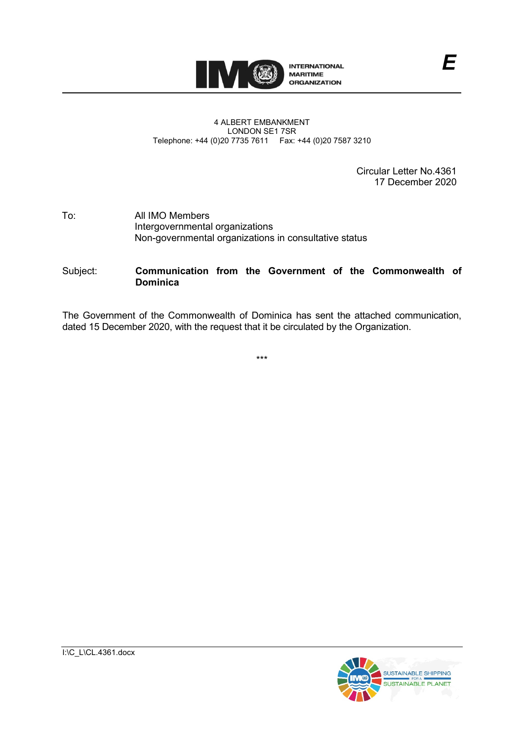

## 4 ALBERT EMBANKMENT LONDON SE1 7SR Telephone: +44 (0)20 7735 7611 Fax: +44 (0)20 7587 3210

Circular Letter No.4361 17 December 2020

## To: All IMO Members Intergovernmental organizations Non-governmental organizations in consultative status

## Subject: **Communication from the Government of the Commonwealth of Dominica**

The Government of the Commonwealth of Dominica has sent the attached communication, dated 15 December 2020, with the request that it be circulated by the Organization.

\*\*\*

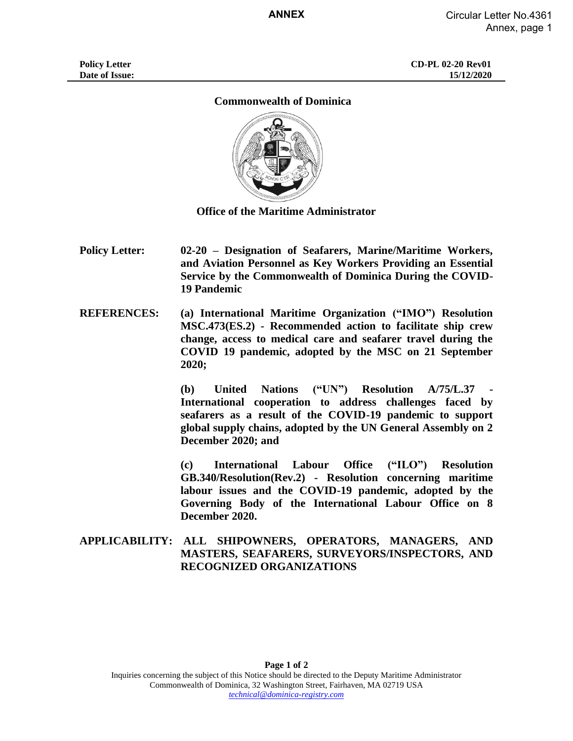## **Commonwealth of Dominica**



**Office of the Maritime Administrator**

**Policy Letter: 02-20 – Designation of Seafarers, Marine/Maritime Workers, and Aviation Personnel as Key Workers Providing an Essential Service by the Commonwealth of Dominica During the COVID-19 Pandemic**

**REFERENCES: (a) International Maritime Organization ("IMO") Resolution MSC.473(ES.2) - Recommended action to facilitate ship crew change, access to medical care and seafarer travel during the COVID 19 pandemic, adopted by the MSC on 21 September 2020;**

> **(b) United Nations ("UN") Resolution A/75/L.37 - International cooperation to address challenges faced by seafarers as a result of the COVID-19 pandemic to support global supply chains, adopted by the UN General Assembly on 2 December 2020; and**

> **(c) International Labour Office ("ILO") Resolution GB.340/Resolution(Rev.2) - Resolution concerning maritime labour issues and the COVID-19 pandemic, adopted by the Governing Body of the International Labour Office on 8 December 2020.**

**APPLICABILITY: ALL SHIPOWNERS, OPERATORS, MANAGERS, AND MASTERS, SEAFARERS, SURVEYORS/INSPECTORS, AND RECOGNIZED ORGANIZATIONS**